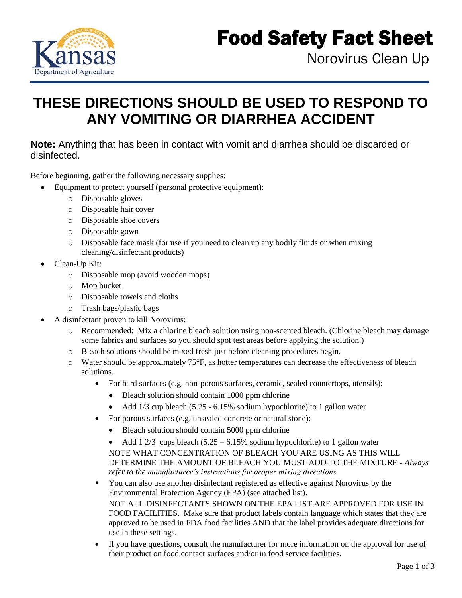

## **THESE DIRECTIONS SHOULD BE USED TO RESPOND TO ANY VOMITING OR DIARRHEA ACCIDENT**

**Note:** Anything that has been in contact with vomit and diarrhea should be discarded or disinfected.

Before beginning, gather the following necessary supplies:

- Equipment to protect yourself (personal protective equipment):
	- o Disposable gloves
	- o Disposable hair cover
	- o Disposable shoe covers
	- o Disposable gown
	- o Disposable face mask (for use if you need to clean up any bodily fluids or when mixing cleaning/disinfectant products)
- Clean-Up Kit:
	- o Disposable mop (avoid wooden mops)
	- o Mop bucket
	- o Disposable towels and cloths
	- o Trash bags/plastic bags
- A disinfectant proven to kill Norovirus:
	- o Recommended: Mix a chlorine bleach solution using non-scented bleach. (Chlorine bleach may damage some fabrics and surfaces so you should spot test areas before applying the solution.)
	- o Bleach solutions should be mixed fresh just before cleaning procedures begin.
	- $\circ$  Water should be approximately 75 $\degree$ F, as hotter temperatures can decrease the effectiveness of bleach solutions.
		- For hard surfaces (e.g. non-porous surfaces, ceramic, sealed countertops, utensils):
			- Bleach solution should contain 1000 ppm chlorine
			- Add 1/3 cup bleach (5.25 6.15% sodium hypochlorite) to 1 gallon water
		- For porous surfaces (e.g. unsealed concrete or natural stone):
			- Bleach solution should contain 5000 ppm chlorine
			- Add 1 2/3 cups bleach (5.25 6.15% sodium hypochlorite) to 1 gallon water NOTE WHAT CONCENTRATION OF BLEACH YOU ARE USING AS THIS WILL DETERMINE THE AMOUNT OF BLEACH YOU MUST ADD TO THE MIXTURE - *Always refer to the manufacturer's instructions for proper mixing directions.*
		- You can also use another disinfectant registered as effective against Norovirus by the Environmental Protection Agency (EPA) (see attached list). NOT ALL DISINFECTANTS SHOWN ON THE EPA LIST ARE APPROVED FOR USE IN FOOD FACILITIES. Make sure that product labels contain language which states that they are approved to be used in FDA food facilities AND that the label provides adequate directions for use in these settings.
		- If you have questions, consult the manufacturer for more information on the approval for use of their product on food contact surfaces and/or in food service facilities.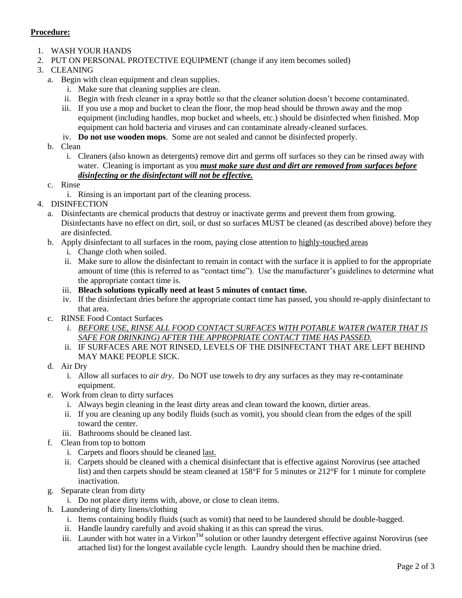## **Procedure:**

- 1. WASH YOUR HANDS
- 2. PUT ON PERSONAL PROTECTIVE EQUIPMENT (change if any item becomes soiled)
- 3. CLEANING
	- a. Begin with clean equipment and clean supplies.
		- i. Make sure that cleaning supplies are clean.
		- ii. Begin with fresh cleaner in a spray bottle so that the cleaner solution doesn't become contaminated.
		- iii. If you use a mop and bucket to clean the floor, the mop head should be thrown away and the mop equipment (including handles, mop bucket and wheels, etc.) should be disinfected when finished. Mop equipment can hold bacteria and viruses and can contaminate already-cleaned surfaces.
		- iv. **Do not use wooden mops**. Some are not sealed and cannot be disinfected properly.
	- b. Clean
		- i. Cleaners (also known as detergents) remove dirt and germs off surfaces so they can be rinsed away with water. Cleaning is important as you *must make sure dust and dirt are removed from surfaces before disinfecting or the disinfectant will not be effective.*
	- c. Rinse
		- i. Rinsing is an important part of the cleaning process.
- 4. DISINFECTION
	- a. Disinfectants are chemical products that destroy or inactivate germs and prevent them from growing. Disinfectants have no effect on dirt, soil, or dust so surfaces MUST be cleaned (as described above) before they are disinfected.
	- b. Apply disinfectant to all surfaces in the room, paying close attention to highly-touched areas
		- i. Change cloth when soiled.
		- ii. Make sure to allow the disinfectant to remain in contact with the surface it is applied to for the appropriate amount of time (this is referred to as "contact time"). Use the manufacturer's guidelines to determine what the appropriate contact time is.
		- iii. **Bleach solutions typically need at least 5 minutes of contact time.**
		- iv. If the disinfectant dries before the appropriate contact time has passed, you should re-apply disinfectant to that area.
	- c. RINSE Food Contact Surfaces
		- *i. BEFORE USE, RINSE ALL FOOD CONTACT SURFACES WITH POTABLE WATER (WATER THAT IS SAFE FOR DRINKING) AFTER THE APPROPRIATE CONTACT TIME HAS PASSED.*
		- ii. IF SURFACES ARE NOT RINSED, LEVELS OF THE DISINFECTANT THAT ARE LEFT BEHIND MAY MAKE PEOPLE SICK.
	- d. Air Dry
		- i. Allow all surfaces to *air dry*. Do NOT use towels to dry any surfaces as they may re-contaminate equipment.
	- e. Work from clean to dirty surfaces
		- i. Always begin cleaning in the least dirty areas and clean toward the known, dirtier areas.
		- ii. If you are cleaning up any bodily fluids (such as vomit), you should clean from the edges of the spill toward the center.
		- iii. Bathrooms should be cleaned last.
	- f. Clean from top to bottom
		- i. Carpets and floors should be cleaned last.
		- ii. Carpets should be cleaned with a chemical disinfectant that is effective against Norovirus (see attached list) and then carpets should be steam cleaned at 158°F for 5 minutes or 212°F for 1 minute for complete inactivation.
	- g. Separate clean from dirty
		- i. Do not place dirty items with, above, or close to clean items.
	- h. Laundering of dirty linens/clothing
		- i. Items containing bodily fluids (such as vomit) that need to be laundered should be double-bagged.
		- ii. Handle laundry carefully and avoid shaking it as this can spread the virus.
		- iii. Launder with hot water in a Virkon<sup>TM</sup> solution or other laundry detergent effective against Norovirus (see attached list) for the longest available cycle length. Laundry should then be machine dried.